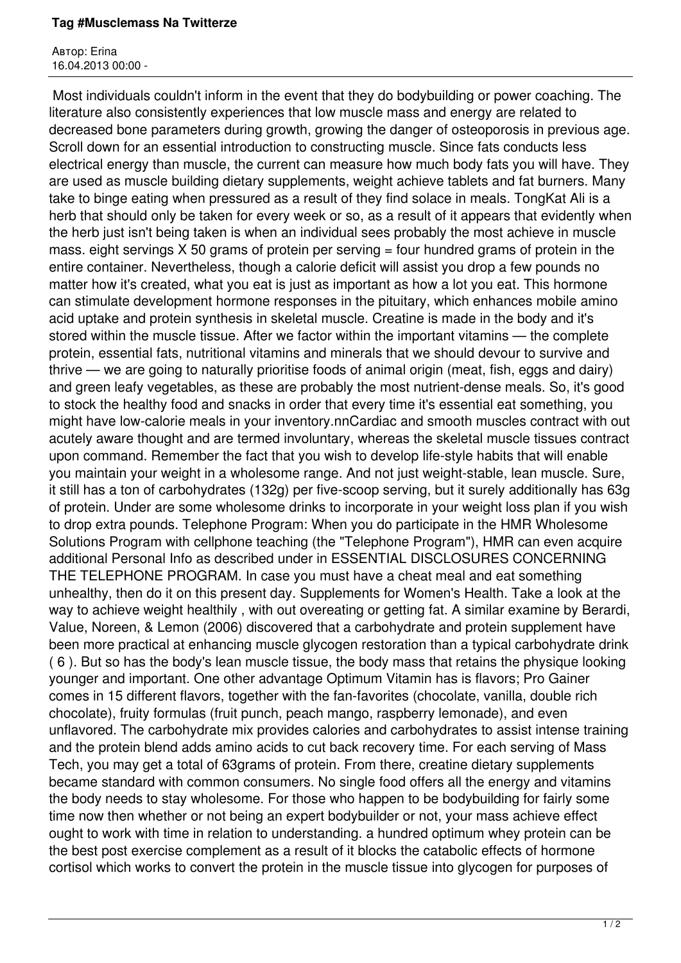## **Tag #Musclemass Na Twitterze**

Автор: Erina 16.04.2013 00:00 -

 Most individuals couldn't inform in the event that they do bodybuilding or power coaching. The literature also consistently experiences that low muscle mass and energy are related to decreased bone parameters during growth, growing the danger of osteoporosis in previous age. Scroll down for an essential introduction to constructing muscle. Since fats conducts less electrical energy than muscle, the current can measure how much body fats you will have. They are used as muscle building dietary supplements, weight achieve tablets and fat burners. Many take to binge eating when pressured as a result of they find solace in meals. TongKat Ali is a herb that should only be taken for every week or so, as a result of it appears that evidently when the herb just isn't being taken is when an individual sees probably the most achieve in muscle mass. eight servings  $X$  50 grams of protein per serving  $=$  four hundred grams of protein in the entire container. Nevertheless, though a calorie deficit will assist you drop a few pounds no matter how it's created, what you eat is just as important as how a lot you eat. This hormone can stimulate development hormone responses in the pituitary, which enhances mobile amino acid uptake and protein synthesis in skeletal muscle. Creatine is made in the body and it's stored within the muscle tissue. After we factor within the important vitamins — the complete protein, essential fats, nutritional vitamins and minerals that we should devour to survive and thrive — we are going to naturally prioritise foods of animal origin (meat, fish, eggs and dairy) and green leafy vegetables, as these are probably the most nutrient-dense meals. So, it's good to stock the healthy food and snacks in order that every time it's essential eat something, you might have low-calorie meals in your inventory.nnCardiac and smooth muscles contract with out acutely aware thought and are termed involuntary, whereas the skeletal muscle tissues contract upon command. Remember the fact that you wish to develop life-style habits that will enable you maintain your weight in a wholesome range. And not just weight-stable, lean muscle. Sure, it still has a ton of carbohydrates (132g) per five-scoop serving, but it surely additionally has 63g of protein. Under are some wholesome drinks to incorporate in your weight loss plan if you wish to drop extra pounds. Telephone Program: When you do participate in the HMR Wholesome Solutions Program with cellphone teaching (the "Telephone Program"), HMR can even acquire additional Personal Info as described under in ESSENTIAL DISCLOSURES CONCERNING THE TELEPHONE PROGRAM. In case you must have a cheat meal and eat something unhealthy, then do it on this present day. Supplements for Women's Health. Take a look at the way to achieve weight healthily , with out overeating or getting fat. A similar examine by Berardi, Value, Noreen, & Lemon (2006) discovered that a carbohydrate and protein supplement have been more practical at enhancing muscle glycogen restoration than a typical carbohydrate drink ( 6 ). But so has the body's lean muscle tissue, the body mass that retains the physique looking younger and important. One other advantage Optimum Vitamin has is flavors; Pro Gainer comes in 15 different flavors, together with the fan-favorites (chocolate, vanilla, double rich chocolate), fruity formulas (fruit punch, peach mango, raspberry lemonade), and even unflavored. The carbohydrate mix provides calories and carbohydrates to assist intense training and the protein blend adds amino acids to cut back recovery time. For each serving of Mass Tech, you may get a total of 63grams of protein. From there, creatine dietary supplements became standard with common consumers. No single food offers all the energy and vitamins the body needs to stay wholesome. For those who happen to be bodybuilding for fairly some time now then whether or not being an expert bodybuilder or not, your mass achieve effect ought to work with time in relation to understanding. a hundred optimum whey protein can be the best post exercise complement as a result of it blocks the catabolic effects of hormone cortisol which works to convert the protein in the muscle tissue into glycogen for purposes of